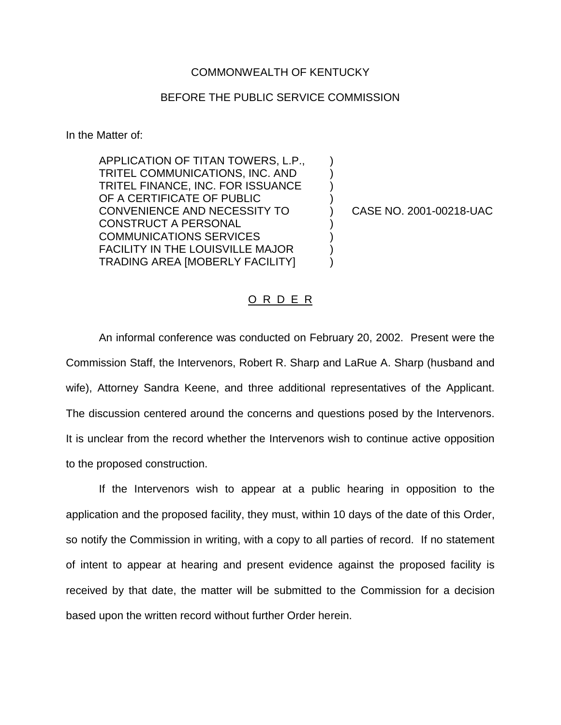## COMMONWEALTH OF KENTUCKY

## BEFORE THE PUBLIC SERVICE COMMISSION

In the Matter of:

APPLICATION OF TITAN TOWERS, L.P., ) TRITEL COMMUNICATIONS, INC. AND ) TRITEL FINANCE, INC. FOR ISSUANCE ) OF A CERTIFICATE OF PUBLIC CONVENIENCE AND NECESSITY TO ) CASE NO. 2001-00218-UAC CONSTRUCT A PERSONAL COMMUNICATIONS SERVICES ) FACILITY IN THE LOUISVILLE MAJOR ) TRADING AREA [MOBERLY FACILITY] )

## O R D E R

An informal conference was conducted on February 20, 2002. Present were the Commission Staff, the Intervenors, Robert R. Sharp and LaRue A. Sharp (husband and wife), Attorney Sandra Keene, and three additional representatives of the Applicant. The discussion centered around the concerns and questions posed by the Intervenors. It is unclear from the record whether the Intervenors wish to continue active opposition to the proposed construction.

If the Intervenors wish to appear at a public hearing in opposition to the application and the proposed facility, they must, within 10 days of the date of this Order, so notify the Commission in writing, with a copy to all parties of record. If no statement of intent to appear at hearing and present evidence against the proposed facility is received by that date, the matter will be submitted to the Commission for a decision based upon the written record without further Order herein.